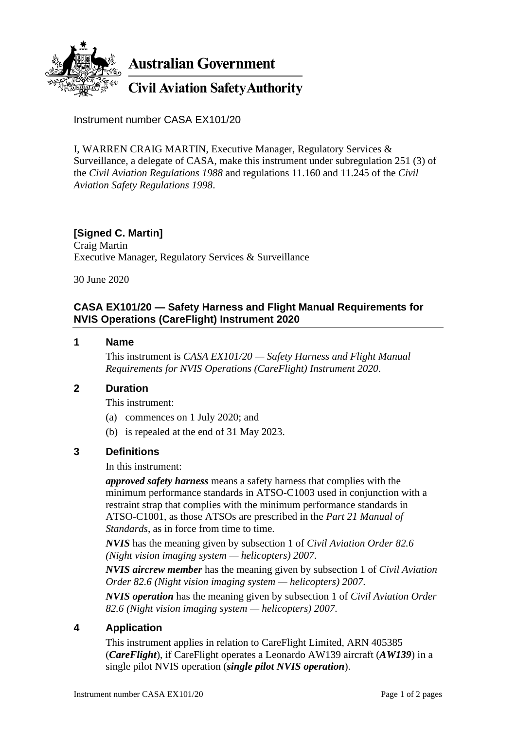

Instrument number CASA EX101/20

I, WARREN CRAIG MARTIN, Executive Manager, Regulatory Services & Surveillance, a delegate of CASA, make this instrument under subregulation 251 (3) of the *Civil Aviation Regulations 1988* and regulations 11.160 and 11.245 of the *Civil Aviation Safety Regulations 1998*.

### **[Signed C. Martin]**

Craig Martin Executive Manager, Regulatory Services & Surveillance

30 June 2020

### **CASA EX101/20 — Safety Harness and Flight Manual Requirements for NVIS Operations (CareFlight) Instrument 2020**

#### **1 Name**

This instrument is *CASA EX101/20 — Safety Harness and Flight Manual Requirements for NVIS Operations (CareFlight) Instrument 2020*.

#### **2 Duration**

This instrument:

- (a) commences on 1 July 2020; and
- (b) is repealed at the end of 31 May 2023.

#### **3 Definitions**

In this instrument:

*approved safety harness* means a safety harness that complies with the minimum performance standards in ATSO-C1003 used in conjunction with a restraint strap that complies with the minimum performance standards in ATSO-C1001, as those ATSOs are prescribed in the *Part 21 Manual of Standards*, as in force from time to time.

*NVIS* has the meaning given by subsection 1 of *Civil Aviation Order 82.6 (Night vision imaging system — helicopters) 2007*.

*NVIS aircrew member* has the meaning given by subsection 1 of *Civil Aviation Order 82.6 (Night vision imaging system — helicopters) 2007*.

*NVIS operation* has the meaning given by subsection 1 of *Civil Aviation Order 82.6 (Night vision imaging system — helicopters) 2007.*

#### **4 Application**

This instrument applies in relation to CareFlight Limited, ARN 405385 (*CareFlight*), if CareFlight operates a Leonardo AW139 aircraft (*AW139*) in a single pilot NVIS operation (*single pilot NVIS operation*).